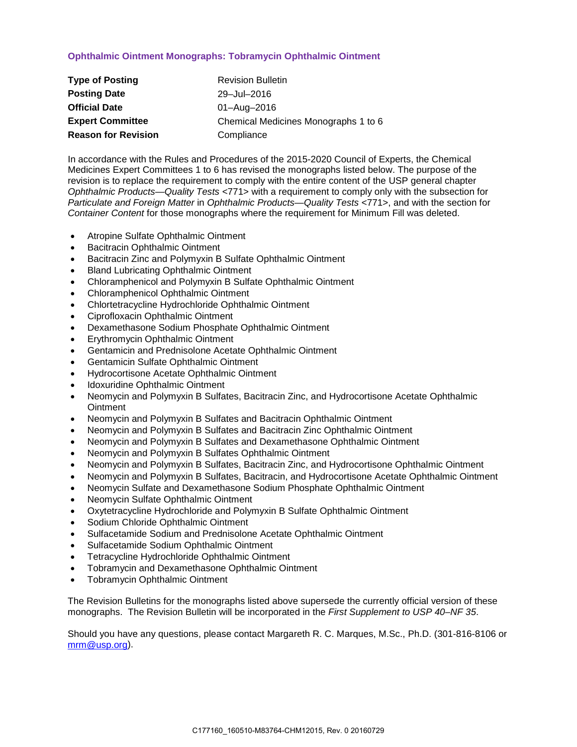### **Ophthalmic Ointment Monographs: Tobramycin Ophthalmic Ointment**

| <b>Type of Posting</b>     | <b>Revision Bulletin</b>             |
|----------------------------|--------------------------------------|
| <b>Posting Date</b>        | 29-Jul-2016                          |
| <b>Official Date</b>       | 01-Aug-2016                          |
| <b>Expert Committee</b>    | Chemical Medicines Monographs 1 to 6 |
| <b>Reason for Revision</b> | Compliance                           |

In accordance with the Rules and Procedures of the 2015-2020 Council of Experts, the Chemical Medicines Expert Committees 1 to 6 has revised the monographs listed below. The purpose of the revision is to replace the requirement to comply with the entire content of the USP general chapter *Ophthalmic Products—Quality Tests* <771> with a requirement to comply only with the subsection for *Particulate and Foreign Matter* in *Ophthalmic Products—Quality Tests* <771>, and with the section for *Container Content* for those monographs where the requirement for Minimum Fill was deleted.

- Atropine Sulfate Ophthalmic Ointment
- Bacitracin Ophthalmic Ointment
- Bacitracin Zinc and Polymyxin B Sulfate Ophthalmic Ointment
- Bland Lubricating Ophthalmic Ointment
- Chloramphenicol and Polymyxin B Sulfate Ophthalmic Ointment
- Chloramphenicol Ophthalmic Ointment
- Chlortetracycline Hydrochloride Ophthalmic Ointment
- Ciprofloxacin Ophthalmic Ointment
- Dexamethasone Sodium Phosphate Ophthalmic Ointment
- Erythromycin Ophthalmic Ointment
- Gentamicin and Prednisolone Acetate Ophthalmic Ointment
- Gentamicin Sulfate Ophthalmic Ointment
- Hydrocortisone Acetate Ophthalmic Ointment
- Idoxuridine Ophthalmic Ointment
- Neomycin and Polymyxin B Sulfates, Bacitracin Zinc, and Hydrocortisone Acetate Ophthalmic **Ointment**
- Neomycin and Polymyxin B Sulfates and Bacitracin Ophthalmic Ointment
- Neomycin and Polymyxin B Sulfates and Bacitracin Zinc Ophthalmic Ointment
- Neomycin and Polymyxin B Sulfates and Dexamethasone Ophthalmic Ointment
- Neomycin and Polymyxin B Sulfates Ophthalmic Ointment
- Neomycin and Polymyxin B Sulfates, Bacitracin Zinc, and Hydrocortisone Ophthalmic Ointment
- Neomycin and Polymyxin B Sulfates, Bacitracin, and Hydrocortisone Acetate Ophthalmic Ointment
- Neomycin Sulfate and Dexamethasone Sodium Phosphate Ophthalmic Ointment
- Neomycin Sulfate Ophthalmic Ointment
- Oxytetracycline Hydrochloride and Polymyxin B Sulfate Ophthalmic Ointment
- Sodium Chloride Ophthalmic Ointment
- Sulfacetamide Sodium and Prednisolone Acetate Ophthalmic Ointment
- Sulfacetamide Sodium Ophthalmic Ointment
- Tetracycline Hydrochloride Ophthalmic Ointment
- Tobramycin and Dexamethasone Ophthalmic Ointment
- Tobramycin Ophthalmic Ointment

The Revision Bulletins for the monographs listed above supersede the currently official version of these monographs. The Revision Bulletin will be incorporated in the *First Supplement to USP 40–NF 35*.

Should you have any questions, please contact Margareth R. C. Marques, M.Sc., Ph.D. (301-816-8106 or [mrm@usp.org\)](mailto:mrm@usp.org).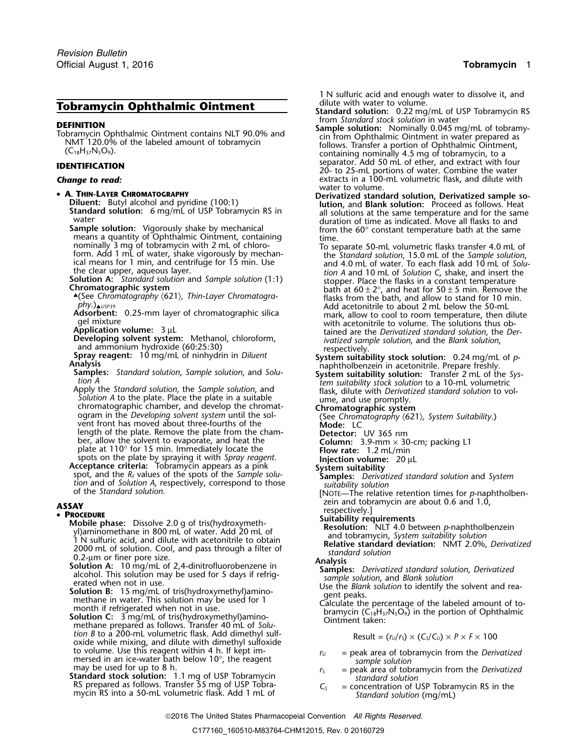# **Tobramycin Ophthalmic Ointment Standard solution:** 0.22 mg/mL of USP Tobramycin RS

- -

means a quantity of Ophthalmic Ointment, containing nominally 3 mg of tobramycin with 2 mL of chloro-

.(See *Chromatography* 〈621〉*, Thin-Layer Chromatogra-* flasks from the bath, and allow to stand for 10 min.

*Solution A* to the plate. Place the plate in a suitable ume, and use promptly.<br>
chromatographic system Suitability.<br>
ogram in the *Developing solvent system* until the sol-<br>
(See *Chromatography (621), System Suitability.* vent front has moved about three-fourths of the **Mode:** LC length of the plate. Remove the plate from the cham-<br>ber, allow the solvent to evaporate, and heat the plate at 110° for 15 min. Immediately locate the spots on the plate by spraying it with *Spray reagent*. **Injection volume:**<sup>20</sup> <sup>µ</sup><sup>L</sup>

**Acceptance criteria:** Tobramycin appears as a pink **System suitability Acceptance criteria:** Iobramycin appears as a pink<br>spot, and the  $R_F$  values of the spots of the *Sample solu*<br>tion and of *Solution A*, respectively, correspond to those<br>of the *Standard solution*.<br>The relative retentio

- **PROCEDURE**<br>
Mobile phase: Dissolve 2.0 g of tris(hydroxymeth-<br>
yl)aminomethane in 800 mL of water. Add 20 mL of<br>
1N sulfuric acid, and dilute with acetonitrile to obtain<br>
2000 mL of a sulfurity solution: NLT 4.0 between
	-
	-
	- tion  $B$  to a 200-mL volumetric flask. Add dimethyl sulf-<br>oxide while mixing, and dilute with dimethyl sulfoxide<br>to volume. Use this reagent within  $4$  h. If kept immersed in an ice-water bath below 10°, the reagent *sample solution*<br>may be used for up to 8 h.  $r_s =$  peak area of tob
	- **Standard stock solution:** 1.1 mg of USP Tobramycin *standard solution* RS prepared as follows. Transfer 55 mg of USP Tobra- *<sup>C</sup><sup>S</sup>* = concentration of USP Tobramycin RS in the

1 N sulfuric acid and enough water to dissolve it, and dilute with water to volume.

- 
- **DEFINITION**<br> **DEFINITION**<br>
Top Standard stock solution in water<br>
Top Standard stock solution in water<br>
Top Standard stock solution in water<br>
Top Standard stock solution in water<br>
Sample solution: Nominally 0.045 mg/mL of separator. Add 50 mL of ether, and extract with four **IDENTIFICATION** 20- to 25-mL portions of water. Combine the water **Change to read: extracts in a 100-mL volumetric flask, and dilute with** extracts in a 100-mL volumetric flask, and dilute with water to volume.
- A. THIN-LAYER CHROMATOGRAPHY<br>Diluent: Butyl alcohol and pyridine (100:1) Diluent: Butyl alcohol and pyridine (100:1) lution, and Blank solution: Proceed as follows. Heat **Standard solution:** 6 mg/mL of USP Tobramycin RS in **Standard solution:** Proceed as follows. Heat **Standard solution:** 6 mg/mL of USP Tobramycin RS in all solutions at the same temperature and for the same water duration from the 60° constant temperature bath at the same time.
	- nominally 3 mg of tobramycin with 2 mL of chloro-<br>form. Add 1 mL of water, shake vigorously by mechan-<br>ical means for 1 min, and centrifuge for 15 min. Use the *Standard solution*, 15.0 mL of the *Sample solution*,<br>the cle form. Add 1 mL of water, shake vigorously by mechanical means for 1 min, and centrifuge for 15 min. Use it is tandard solution, 15.0 mL of the *Sample solution*, and centrifuge for 15 min. Use the *Standard solution* and *phy.*)<sub>▲*USP39*<br>Add acetonitrile to about 2 mL below the 50-ml **Adsorbent:** 0.25-mm layer of chromatographic silica mark allow to cool to room temperature then d</sub> Adsorbent: 0.25-mm layer of chromatographic silica mark, allow to cool to room temperature, then dilute gel mixture gel mixture<br>**Application volume:** 3 µL and the solutions thus ob-<br>tained are the *Derivatized standard solution*, the *De* Application volume:  $3 \mu L$ <br>Developing solvent system: Methanol, chloroform,<br>*ivatized sample solution*, and the *Blank solution*,
		-
	- Developing solvent system: Methanol, chloroform,<br>
	and ammonium hydroxide (60:25:30)<br>
	Spray reagent: 10 mg/mL of ninhydrin in *Diluent*<br>
	Analysis<br>
	Samples: Standard solution, Sample solution, and Solu-<br>
	Samples: Standard so tion A<br>Apply the *Standard solution*, the *Sample solution*, and<br>Solution A to the plate. Place the plate in a suitable<br>Solution A to the plate. Place the plate in a suitable<br>ume, and use promptly.
		-
		-

**Detector:** UV 365 nm<br>Column: 3.9-mm × 30-cm; packing L1<br>Flow rate: 1.2 mL/min

- 
- 
- 
- 

**ASSAY<br>
PROCEDURE**<br> **EXECUTE:** PROCEDURE<br>
Mobile phase: Dissolve 2.0 g of tris(hydroxymeth-<br>
Mobile phase: Dissolve 2.0 g of tris(hydroxymeth-<br>
Mesolution: NLT 4.0 between *p*-naphtholbenzein

- -
	-

$$
Result = (r_U/r_S) \times (C_S/C_U) \times P \times F \times 100
$$

- $r_U$  = peak area of tobramycin from the *Derivatized*
- $r<sub>S</sub>$  = peak area of tobramycin from the *Derivatized*
- RS prepared as follows. Iransfer 55 mg of USP lobra-<br>mycin RS into a 50-mL volumetric flask. Add 1 mL of *Standard solution* (mg/mL)